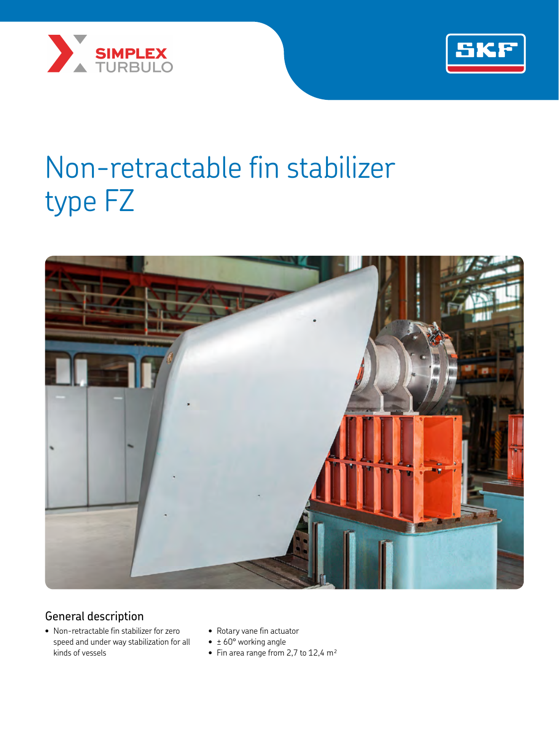



# Non-retractable fin stabilizer type FZ



## General description

- Non-retractable fin stabilizer for zero speed and under way stabilization for all kinds of vessels
- Rotary vane fin actuator
- $\bullet$   $\pm$  60° working angle
- Fin area range from 2,7 to  $12,4$  m<sup>2</sup>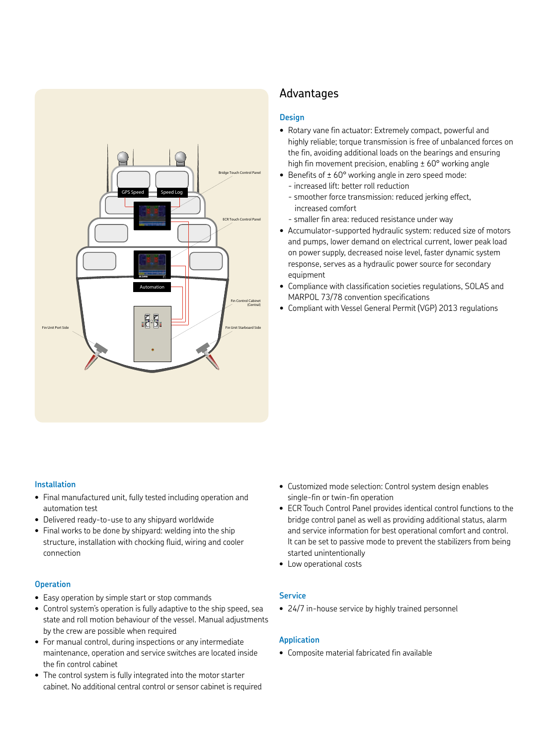

### Advantages

#### **Design**

- Rotary vane fin actuator: Extremely compact, powerful and highly reliable; torque transmission is free of unbalanced forces on the fin, avoiding additional loads on the bearings and ensuring high fin movement precision, enabling  $\pm$  60 $\degree$  working angle
- Benefits of  $\pm 60^{\circ}$  working angle in zero speed mode: - increased lift: better roll reduction
	- smoother force transmission: reduced jerking effect, increased comfort
	- smaller fin area: reduced resistance under way
- Accumulator-supported hydraulic system: reduced size of motors and pumps, lower demand on electrical current, lower peak load on power supply, decreased noise level, faster dynamic system response, serves as a hydraulic power source for secondary equipment
- Compliance with classification societies regulations, SOLAS and MARPOL 73/78 convention specifications
- Compliant with Vessel General Permit (VGP) 2013 regulations

#### **Installation**

- Final manufactured unit, fully tested including operation and automation test
- Delivered ready-to-use to any shipyard worldwide
- Final works to be done by shipyard: welding into the ship structure, installation with chocking fluid, wiring and cooler connection

#### **Operation**

- Easy operation by simple start or stop commands
- Control system's operation is fully adaptive to the ship speed, sea state and roll motion behaviour of the vessel. Manual adjustments by the crew are possible when required
- For manual control, during inspections or any intermediate maintenance, operation and service switches are located inside the fin control cabinet
- The control system is fully integrated into the motor starter cabinet. No additional central control or sensor cabinet is required
- Customized mode selection: Control system design enables single-fin or twin-fin operation
- ECR Touch Control Panel provides identical control functions to the bridge control panel as well as providing additional status, alarm and service information for best operational comfort and control. It can be set to passive mode to prevent the stabilizers from being started unintentionally
- Low operational costs

#### **Service**

• 24/7 in-house service by highly trained personnel

#### **Application**

• Composite material fabricated fin available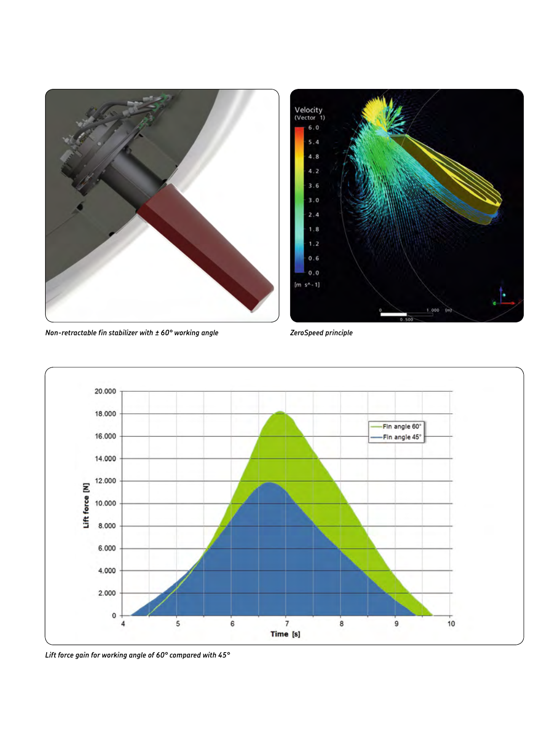



*Non-retractable fin stabilizer with ± 60° working angle ZeroSpeed principle*



*Lift force gain for working angle of 60° compared with 45°*